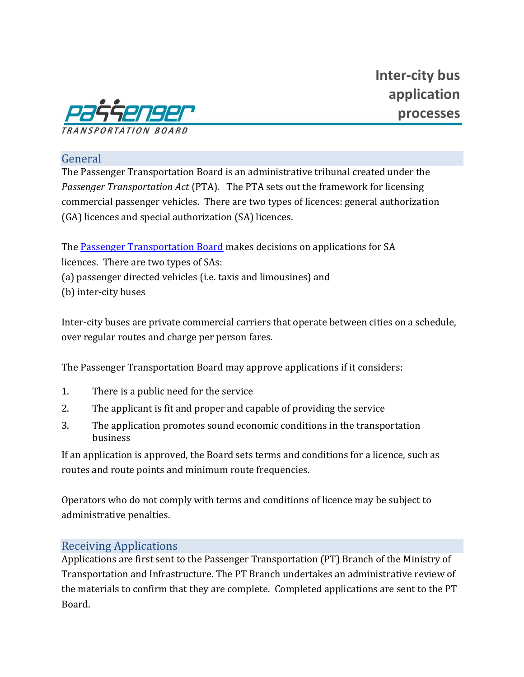

#### General

The Passenger Transportation Board is an administrative tribunal created under the *Passenger Transportation Act* (PTA). The PTA sets out the framework for licensing commercial passenger vehicles. There are two types of licences: general authorization (GA) licences and special authorization (SA) licences.

The [Passenger Transportation Board](http://www.ptboard.bc.ca/) makes decisions on applications for SA licences. There are two types of SAs: (a) passenger directed vehicles (i.e. taxis and limousines) and (b) inter-city buses

Inter-city buses are private commercial carriers that operate between cities on a schedule, over regular routes and charge per person fares.

The Passenger Transportation Board may approve applications if it considers:

- 1. There is a public need for the service
- 2. The applicant is fit and proper and capable of providing the service
- 3. The application promotes sound economic conditions in the transportation business

If an application is approved, the Board sets terms and conditions for a licence, such as routes and route points and minimum route frequencies.

Operators who do not comply with terms and conditions of licence may be subject to administrative penalties.

#### Receiving Applications

Applications are first sent to the Passenger Transportation (PT) Branch of the Ministry of Transportation and Infrastructure. The PT Branch undertakes an administrative review of the materials to confirm that they are complete. Completed applications are sent to the PT Board.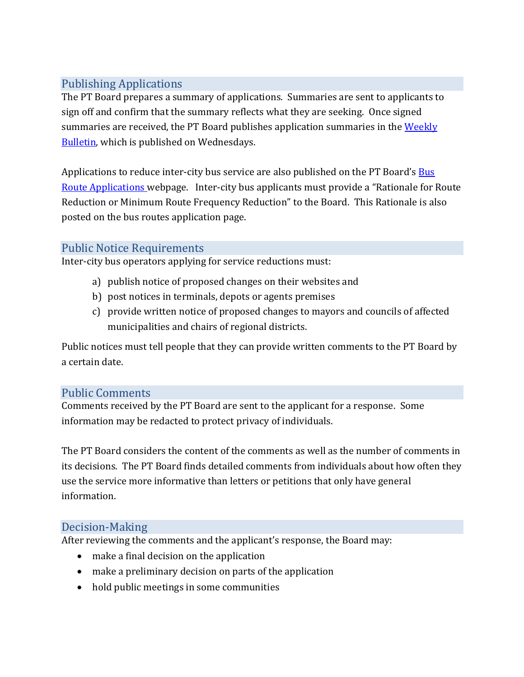# Publishing Applications

The PT Board prepares a summary of applications. Summaries are sent to applicants to sign off and confirm that the summary reflects what they are seeking. Once signed summaries are received, the PT Board publishes application summaries in the Weekly [Bulletin,](http://www.ptboard.bc.ca/bulletins.htm) which is published on Wednesdays.

Applications to reduce inter-city bus service are also published on the PT Board's Bus [Route Applications w](http://www.ptboard.bc.ca/bus.htm)ebpage. Inter-city bus applicants must provide a "Rationale for Route Reduction or Minimum Route Frequency Reduction" to the Board. This Rationale is also posted on the bus routes application page.

# Public Notice Requirements

Inter-city bus operators applying for service reductions must:

- a) publish notice of proposed changes on their websites and
- b) post notices in terminals, depots or agents premises
- c) provide written notice of proposed changes to mayors and councils of affected municipalities and chairs of regional districts.

Public notices must tell people that they can provide written comments to the PT Board by a certain date.

## Public Comments

Comments received by the PT Board are sent to the applicant for a response. Some information may be redacted to protect privacy of individuals.

The PT Board considers the content of the comments as well as the number of comments in its decisions. The PT Board finds detailed comments from individuals about how often they use the service more informative than letters or petitions that only have general information.

## Decision-Making

After reviewing the comments and the applicant's response, the Board may:

- make a final decision on the application
- make a preliminary decision on parts of the application
- hold public meetings in some communities